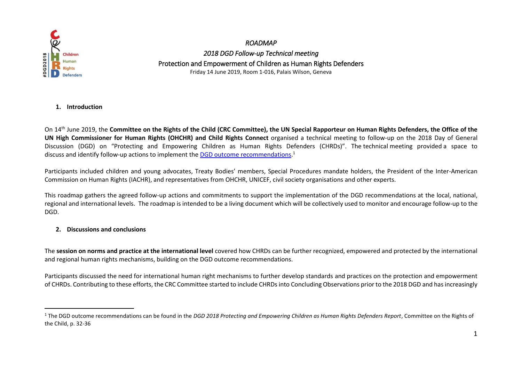

-

*ROADMAP 2018 DGD Follow-up Technical meeting* Protection and Empowerment of Children as Human Rights Defenders Friday 14 June 2019, Room 1-016, Palais Wilson, Geneva

## **1. Introduction**

On 14th June 2019, the **Committee on the Rights of the Child (CRC Committee), the UN Special Rapporteur on Human Rights Defenders, the Office of the UN High Commissioner for Human Rights (OHCHR) and Child Rights Connect** organised a technical meeting to follow-up on the 2018 Day of General Discussion (DGD) on "Protecting and Empowering Children as Human Rights Defenders (CHRDs)". The technical meeting provided a space to discuss and identify follow-up actions to implement the **DGD** outcome [recommendations.](https://www.ohchr.org/Documents/HRBodies/CRC/Discussions/2018/CRC_DGD_2018_OutcomeReport.pdf)<sup>1</sup>

Participants included children and young advocates, Treaty Bodies' members, Special Procedures mandate holders, the President of the Inter-American Commission on Human Rights (IACHR), and representatives from OHCHR, UNICEF, civil society organisations and other experts.

This roadmap gathers the agreed follow-up actions and commitments to support the implementation of the DGD recommendations at the local, national, regional and international levels. The roadmap is intended to be a living document which will be collectively used to monitor and encourage follow-up to the DGD.

## **2. Discussions and conclusions**

The **session on norms and practice at the international level** covered how CHRDs can be further recognized, empowered and protected by the international and regional human rights mechanisms, building on the DGD outcome recommendations.

Participants discussed the need for international human right mechanisms to further develop standards and practices on the protection and empowerment of CHRDs. Contributing to these efforts, the CRC Committee started to include CHRDs into Concluding Observations prior to the 2018 DGD and has increasingly

<sup>1</sup> The DGD outcome recommendations can be found in the *DGD 2018 Protecting and Empowering Children as Human Rights Defenders Report*, Committee on the Rights of the Child, p. 32-36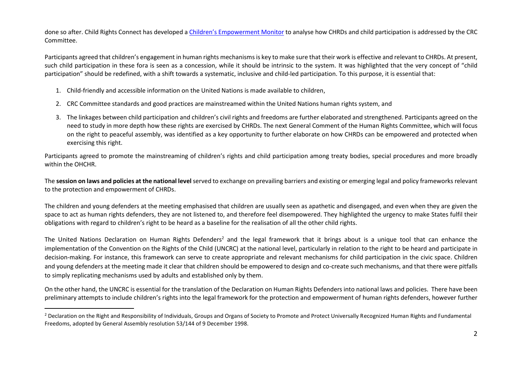done so after. Child Rights Connect has developed a Children's [Empowerment Monitor](https://www.childrightsconnect.org/wp-content/uploads/2019/07/2019_childparticipation_Cobs_81S.pdf) to analyse how CHRDs and child participation is addressed by the CRC Committee.

Participants agreed that children's engagement in human rights mechanisms is key to make sure that their work is effective and relevant to CHRDs. At present, such child participation in these fora is seen as a concession, while it should be intrinsic to the system. It was highlighted that the very concept of "child participation" should be redefined, with a shift towards a systematic, inclusive and child-led participation. To this purpose, it is essential that:

1. Child-friendly and accessible information on the United Nations is made available to children,

-

- 2. CRC Committee standards and good practices are mainstreamed within the United Nations human rights system, and
- 3. The linkages between child participation and children's civil rights and freedoms are further elaborated and strengthened. Participants agreed on the need to study in more depth how these rights are exercised by CHRDs. The next General Comment of the Human Rights Committee, which will focus on the right to peaceful assembly, was identified as a key opportunity to further elaborate on how CHRDs can be empowered and protected when exercising this right.

Participants agreed to promote the mainstreaming of children's rights and child participation among treaty bodies, special procedures and more broadly within the OHCHR.

The **session on laws and policies at the national level** served to exchange on prevailing barriers and existing or emerging legal and policy frameworks relevant to the protection and empowerment of CHRDs.

The children and young defenders at the meeting emphasised that children are usually seen as apathetic and disengaged, and even when they are given the space to act as human rights defenders, they are not listened to, and therefore feel disempowered. They highlighted the urgency to make States fulfil their obligations with regard to children's right to be heard as a baseline for the realisation of all the other child rights.

The United Nations Declaration on Human Rights Defenders<sup>2</sup> and the legal framework that it brings about is a unique tool that can enhance the implementation of the Convention on the Rights of the Child (UNCRC) at the national level, particularly in relation to the right to be heard and participate in decision-making. For instance, this framework can serve to create appropriate and relevant mechanisms for child participation in the civic space. Children and young defenders at the meeting made it clear that children should be empowered to design and co-create such mechanisms, and that there were pitfalls to simply replicating mechanisms used by adults and established only by them.

On the other hand, the UNCRC is essential for the translation of the Declaration on Human Rights Defenders into national laws and policies. There have been preliminary attempts to include children's rights into the legal framework for the protection and empowerment of human rights defenders, however further

<sup>&</sup>lt;sup>2</sup> Declaration on the Right and Responsibility of Individuals, Groups and Organs of Society to Promote and Protect Universally Recognized Human Rights and Fundamental Freedoms, adopted by General Assembly resolution 53/144 of 9 December 1998.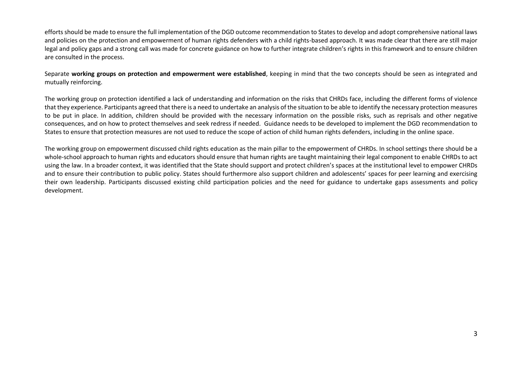efforts should be made to ensure the full implementation of the DGD outcome recommendation to States to develop and adopt comprehensive national laws and policies on the protection and empowerment of human rights defenders with a child rights-based approach. It was made clear that there are still major legal and policy gaps and a strong call was made for concrete guidance on how to further integrate children's rights in this framework and to ensure children are consulted in the process.

Separate **working groups on protection and empowerment were established**, keeping in mind that the two concepts should be seen as integrated and mutually reinforcing.

The working group on protection identified a lack of understanding and information on the risks that CHRDs face, including the different forms of violence that they experience. Participants agreed that there is a need to undertake an analysis of the situation to be able to identify the necessary protection measures to be put in place. In addition, children should be provided with the necessary information on the possible risks, such as reprisals and other negative consequences, and on how to protect themselves and seek redress if needed. Guidance needs to be developed to implement the DGD recommendation to States to ensure that protection measures are not used to reduce the scope of action of child human rights defenders, including in the online space.

The working group on empowerment discussed child rights education as the main pillar to the empowerment of CHRDs. In school settings there should be a whole-school approach to human rights and educators should ensure that human rights are taught maintaining their legal component to enable CHRDs to act using the law. In a broader context, it was identified that the State should support and protect children's spaces at the institutional level to empower CHRDs and to ensure their contribution to public policy. States should furthermore also support children and adolescents' spaces for peer learning and exercising their own leadership. Participants discussed existing child participation policies and the need for guidance to undertake gaps assessments and policy development.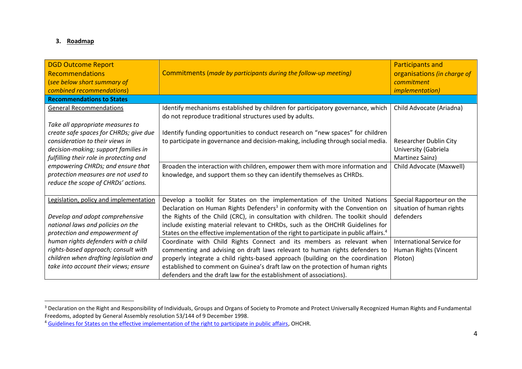## **3. Roadmap**

-

| <b>DGD Outcome Report</b><br><b>Recommendations</b><br>(see below short summary of<br>combined recommendations)    | Commitments (made by participants during the follow-up meeting)                                                                                      | <b>Participants and</b><br>organisations (in charge of<br>commitment<br><i>implementation)</i> |
|--------------------------------------------------------------------------------------------------------------------|------------------------------------------------------------------------------------------------------------------------------------------------------|------------------------------------------------------------------------------------------------|
| <b>Recommendations to States</b>                                                                                   |                                                                                                                                                      |                                                                                                |
| <b>General Recommendations</b>                                                                                     | Identify mechanisms established by children for participatory governance, which<br>do not reproduce traditional structures used by adults.           | Child Advocate (Ariadna)                                                                       |
| Take all appropriate measures to                                                                                   |                                                                                                                                                      |                                                                                                |
| create safe spaces for CHRDs; give due                                                                             | Identify funding opportunities to conduct research on "new spaces" for children                                                                      |                                                                                                |
| consideration to their views in<br>decision-making; support families in<br>fulfilling their role in protecting and | to participate in governance and decision-making, including through social media.                                                                    | Researcher Dublin City<br>University (Gabriela<br>Martinez Sainz)                              |
| empowering CHRDs; and ensure that                                                                                  | Broaden the interaction with children, empower them with more information and                                                                        | Child Advocate (Maxwell)                                                                       |
| protection measures are not used to                                                                                | knowledge, and support them so they can identify themselves as CHRDs.                                                                                |                                                                                                |
| reduce the scope of CHRDs' actions.                                                                                |                                                                                                                                                      |                                                                                                |
| Legislation, policy and implementation                                                                             | Develop a toolkit for States on the implementation of the United Nations                                                                             | Special Rapporteur on the                                                                      |
|                                                                                                                    | Declaration on Human Rights Defenders <sup>3</sup> in conformity with the Convention on                                                              | situation of human rights                                                                      |
| Develop and adopt comprehensive                                                                                    | the Rights of the Child (CRC), in consultation with children. The toolkit should                                                                     | defenders                                                                                      |
| national laws and policies on the                                                                                  | include existing material relevant to CHRDs, such as the OHCHR Guidelines for                                                                        |                                                                                                |
| protection and empowerment of                                                                                      | States on the effective implementation of the right to participate in public affairs. <sup>4</sup>                                                   | International Service for                                                                      |
| human rights defenders with a child<br>rights-based approach; consult with                                         | Coordinate with Child Rights Connect and its members as relevant when<br>commenting and advising on draft laws relevant to human rights defenders to | Human Rights (Vincent                                                                          |
| children when drafting legislation and                                                                             | properly integrate a child rights-based approach (building on the coordination                                                                       | Ploton)                                                                                        |
| take into account their views; ensure                                                                              | established to comment on Guinea's draft law on the protection of human rights                                                                       |                                                                                                |
|                                                                                                                    | defenders and the draft law for the establishment of associations).                                                                                  |                                                                                                |

<sup>&</sup>lt;sup>3</sup> Declaration on the Right and Responsibility of Individuals, Groups and Organs of Society to Promote and Protect Universally Recognized Human Rights and Fundamental Freedoms, adopted by General Assembly resolution 53/144 of 9 December 1998.

<sup>4</sup> [Guidelines for States on the effective implementation of the right to participate in public affairs,](https://www.ohchr.org/EN/Issues/Pages/DraftGuidelinesRighttoParticipationPublicAffairs.aspx) OHCHR.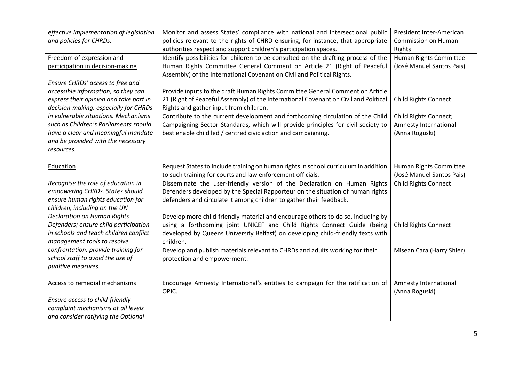| effective implementation of legislation | Monitor and assess States' compliance with national and intersectional public        | President Inter-American    |
|-----------------------------------------|--------------------------------------------------------------------------------------|-----------------------------|
| and policies for CHRDs.                 | policies relevant to the rights of CHRD ensuring, for instance, that appropriate     | Commission on Human         |
|                                         | authorities respect and support children's participation spaces.                     | Rights                      |
| Freedom of expression and               | Identify possibilities for children to be consulted on the drafting process of the   | Human Rights Committee      |
| participation in decision-making        | Human Rights Committee General Comment on Article 21 (Right of Peaceful              | (José Manuel Santos Pais)   |
|                                         | Assembly) of the International Covenant on Civil and Political Rights.               |                             |
| Ensure CHRDs' access to free and        |                                                                                      |                             |
| accessible information, so they can     | Provide inputs to the draft Human Rights Committee General Comment on Article        |                             |
| express their opinion and take part in  | 21 (Right of Peaceful Assembly) of the International Covenant on Civil and Political | <b>Child Rights Connect</b> |
| decision-making, especially for CHRDs   | Rights and gather input from children.                                               |                             |
| in vulnerable situations. Mechanisms    | Contribute to the current development and forthcoming circulation of the Child       | Child Rights Connect;       |
| such as Children's Parliaments should   | Campaigning Sector Standards, which will provide principles for civil society to     | Amnesty International       |
| have a clear and meaningful mandate     | best enable child led / centred civic action and campaigning.                        | (Anna Roguski)              |
| and be provided with the necessary      |                                                                                      |                             |
| resources.                              |                                                                                      |                             |
|                                         |                                                                                      |                             |
| Education                               | Request States to include training on human rights in school curriculum in addition  | Human Rights Committee      |
|                                         | to such training for courts and law enforcement officials.                           | (José Manuel Santos Pais)   |
| Recognise the role of education in      | Disseminate the user-friendly version of the Declaration on Human Rights             | <b>Child Rights Connect</b> |
| empowering CHRDs. States should         | Defenders developed by the Special Rapporteur on the situation of human rights       |                             |
| ensure human rights education for       | defenders and circulate it among children to gather their feedback.                  |                             |
| children, including on the UN           |                                                                                      |                             |
| <b>Declaration on Human Rights</b>      | Develop more child-friendly material and encourage others to do so, including by     |                             |
| Defenders; ensure child participation   | using a forthcoming joint UNICEF and Child Rights Connect Guide (being               | <b>Child Rights Connect</b> |
| in schools and teach children conflict  | developed by Queens University Belfast) on developing child-friendly texts with      |                             |
| management tools to resolve             | children.                                                                            |                             |
| confrontation; provide training for     | Develop and publish materials relevant to CHRDs and adults working for their         | Misean Cara (Harry Shier)   |
| school staff to avoid the use of        | protection and empowerment.                                                          |                             |
| punitive measures.                      |                                                                                      |                             |
|                                         |                                                                                      |                             |
| <b>Access to remedial mechanisms</b>    | Encourage Amnesty International's entities to campaign for the ratification of       | Amnesty International       |
|                                         | OPIC.                                                                                | (Anna Roguski)              |
| Ensure access to child-friendly         |                                                                                      |                             |
| complaint mechanisms at all levels      |                                                                                      |                             |
| and consider ratifying the Optional     |                                                                                      |                             |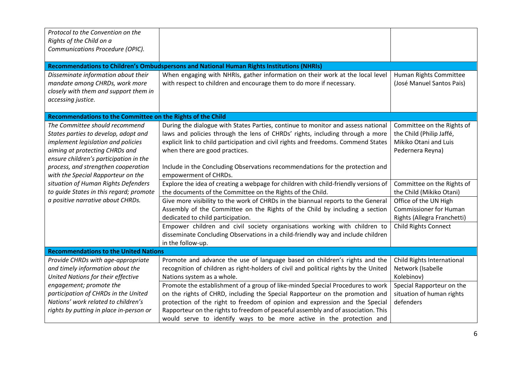| Protocol to the Convention on the<br>Rights of the Child on a<br>Communications Procedure (OPIC).                                                                                                                                                                                                                                                                                            |                                                                                                                                                                                                                                                                                                                                                                                                                                                                                                                                                                                                                                                                                                                                                                                                                                                                                                                                                        |                                                                                                                                                                                                                                                                                       |
|----------------------------------------------------------------------------------------------------------------------------------------------------------------------------------------------------------------------------------------------------------------------------------------------------------------------------------------------------------------------------------------------|--------------------------------------------------------------------------------------------------------------------------------------------------------------------------------------------------------------------------------------------------------------------------------------------------------------------------------------------------------------------------------------------------------------------------------------------------------------------------------------------------------------------------------------------------------------------------------------------------------------------------------------------------------------------------------------------------------------------------------------------------------------------------------------------------------------------------------------------------------------------------------------------------------------------------------------------------------|---------------------------------------------------------------------------------------------------------------------------------------------------------------------------------------------------------------------------------------------------------------------------------------|
|                                                                                                                                                                                                                                                                                                                                                                                              | Recommendations to Children's Ombudspersons and National Human Rights Institutions (NHRIs)                                                                                                                                                                                                                                                                                                                                                                                                                                                                                                                                                                                                                                                                                                                                                                                                                                                             |                                                                                                                                                                                                                                                                                       |
| Disseminate information about their<br>mandate among CHRDs, work more<br>closely with them and support them in<br>accessing justice.                                                                                                                                                                                                                                                         | When engaging with NHRIs, gather information on their work at the local level<br>with respect to children and encourage them to do more if necessary.                                                                                                                                                                                                                                                                                                                                                                                                                                                                                                                                                                                                                                                                                                                                                                                                  | Human Rights Committee<br>(José Manuel Santos Pais)                                                                                                                                                                                                                                   |
| Recommendations to the Committee on the Rights of the Child                                                                                                                                                                                                                                                                                                                                  |                                                                                                                                                                                                                                                                                                                                                                                                                                                                                                                                                                                                                                                                                                                                                                                                                                                                                                                                                        |                                                                                                                                                                                                                                                                                       |
| The Committee should recommend<br>States parties to develop, adopt and<br>implement legislation and policies<br>aiming at protecting CHRDs and<br>ensure children's participation in the<br>process, and strengthen cooperation<br>with the Special Rapporteur on the<br>situation of Human Rights Defenders<br>to guide States in this regard; promote<br>a positive narrative about CHRDs. | During the dialogue with States Parties, continue to monitor and assess national<br>laws and policies through the lens of CHRDs' rights, including through a more<br>explicit link to child participation and civil rights and freedoms. Commend States<br>when there are good practices.<br>Include in the Concluding Observations recommendations for the protection and<br>empowerment of CHRDs.<br>Explore the idea of creating a webpage for children with child-friendly versions of<br>the documents of the Committee on the Rights of the Child.<br>Give more visibility to the work of CHRDs in the biannual reports to the General<br>Assembly of the Committee on the Rights of the Child by including a section<br>dedicated to child participation.<br>Empower children and civil society organisations working with children to<br>disseminate Concluding Observations in a child-friendly way and include children<br>in the follow-up. | Committee on the Rights of<br>the Child (Philip Jaffé,<br>Mikiko Otani and Luis<br>Pedernera Reyna)<br>Committee on the Rights of<br>the Child (Mikiko Otani)<br>Office of the UN High<br><b>Commissioner for Human</b><br>Rights (Allegra Franchetti)<br><b>Child Rights Connect</b> |
| <b>Recommendations to the United Nations</b>                                                                                                                                                                                                                                                                                                                                                 |                                                                                                                                                                                                                                                                                                                                                                                                                                                                                                                                                                                                                                                                                                                                                                                                                                                                                                                                                        |                                                                                                                                                                                                                                                                                       |
| Provide CHRDs with age-appropriate<br>and timely information about the<br>United Nations for their effective                                                                                                                                                                                                                                                                                 | Promote and advance the use of language based on children's rights and the<br>recognition of children as right-holders of civil and political rights by the United<br>Nations system as a whole.                                                                                                                                                                                                                                                                                                                                                                                                                                                                                                                                                                                                                                                                                                                                                       | Child Rights International<br>Network (Isabelle<br>Kolebinov)                                                                                                                                                                                                                         |
| engagement; promote the<br>participation of CHRDs in the United<br>Nations' work related to children's<br>rights by putting in place in-person or                                                                                                                                                                                                                                            | Promote the establishment of a group of like-minded Special Procedures to work<br>on the rights of CHRD, including the Special Rapporteur on the promotion and<br>protection of the right to freedom of opinion and expression and the Special<br>Rapporteur on the rights to freedom of peaceful assembly and of association. This                                                                                                                                                                                                                                                                                                                                                                                                                                                                                                                                                                                                                    | Special Rapporteur on the<br>situation of human rights<br>defenders                                                                                                                                                                                                                   |
|                                                                                                                                                                                                                                                                                                                                                                                              | would serve to identify ways to be more active in the protection and                                                                                                                                                                                                                                                                                                                                                                                                                                                                                                                                                                                                                                                                                                                                                                                                                                                                                   |                                                                                                                                                                                                                                                                                       |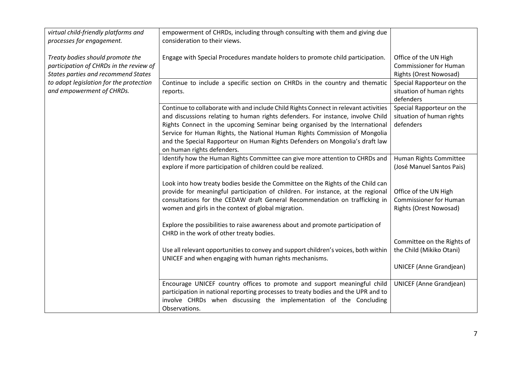| virtual child-friendly platforms and<br>processes for engagement.                                                         | empowerment of CHRDs, including through consulting with them and giving due<br>consideration to their views.                                                                                                                                                                                                                                                                                                                                       |                                                                                         |
|---------------------------------------------------------------------------------------------------------------------------|----------------------------------------------------------------------------------------------------------------------------------------------------------------------------------------------------------------------------------------------------------------------------------------------------------------------------------------------------------------------------------------------------------------------------------------------------|-----------------------------------------------------------------------------------------|
| Treaty bodies should promote the<br>participation of CHRDs in the review of<br><b>States parties and recommend States</b> | Engage with Special Procedures mandate holders to promote child participation.                                                                                                                                                                                                                                                                                                                                                                     | Office of the UN High<br><b>Commissioner for Human</b><br>Rights (Orest Nowosad)        |
| to adopt legislation for the protection<br>and empowerment of CHRDs.                                                      | Continue to include a specific section on CHRDs in the country and thematic<br>reports.                                                                                                                                                                                                                                                                                                                                                            | Special Rapporteur on the<br>situation of human rights<br>defenders                     |
|                                                                                                                           | Continue to collaborate with and include Child Rights Connect in relevant activities<br>and discussions relating to human rights defenders. For instance, involve Child<br>Rights Connect in the upcoming Seminar being organised by the International<br>Service for Human Rights, the National Human Rights Commission of Mongolia<br>and the Special Rapporteur on Human Rights Defenders on Mongolia's draft law<br>on human rights defenders. | Special Rapporteur on the<br>situation of human rights<br>defenders                     |
|                                                                                                                           | Identify how the Human Rights Committee can give more attention to CHRDs and<br>explore if more participation of children could be realized.                                                                                                                                                                                                                                                                                                       | Human Rights Committee<br>(José Manuel Santos Pais)                                     |
|                                                                                                                           | Look into how treaty bodies beside the Committee on the Rights of the Child can<br>provide for meaningful participation of children. For instance, at the regional<br>consultations for the CEDAW draft General Recommendation on trafficking in<br>women and girls in the context of global migration.                                                                                                                                            | Office of the UN High<br><b>Commissioner for Human</b><br><b>Rights (Orest Nowosad)</b> |
|                                                                                                                           | Explore the possibilities to raise awareness about and promote participation of<br>CHRD in the work of other treaty bodies.                                                                                                                                                                                                                                                                                                                        |                                                                                         |
|                                                                                                                           | Use all relevant opportunities to convey and support children's voices, both within<br>UNICEF and when engaging with human rights mechanisms.                                                                                                                                                                                                                                                                                                      | Committee on the Rights of<br>the Child (Mikiko Otani)                                  |
|                                                                                                                           |                                                                                                                                                                                                                                                                                                                                                                                                                                                    | <b>UNICEF (Anne Grandjean)</b>                                                          |
|                                                                                                                           | Encourage UNICEF country offices to promote and support meaningful child<br>participation in national reporting processes to treaty bodies and the UPR and to<br>involve CHRDs when discussing the implementation of the Concluding<br>Observations.                                                                                                                                                                                               | <b>UNICEF (Anne Grandjean)</b>                                                          |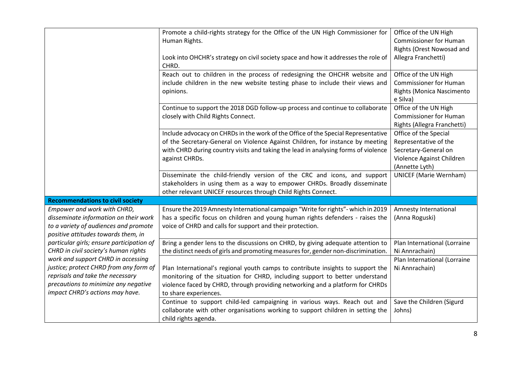|                                           | Promote a child-rights strategy for the Office of the UN High Commissioner for     | Office of the UN High         |
|-------------------------------------------|------------------------------------------------------------------------------------|-------------------------------|
|                                           | Human Rights.                                                                      | <b>Commissioner for Human</b> |
|                                           |                                                                                    | Rights (Orest Nowosad and     |
|                                           | Look into OHCHR's strategy on civil society space and how it addresses the role of | Allegra Franchetti)           |
|                                           | CHRD.                                                                              |                               |
|                                           | Reach out to children in the process of redesigning the OHCHR website and          | Office of the UN High         |
|                                           | include children in the new website testing phase to include their views and       | <b>Commissioner for Human</b> |
|                                           | opinions.                                                                          | Rights (Monica Nascimento     |
|                                           |                                                                                    | e Silva)                      |
|                                           | Continue to support the 2018 DGD follow-up process and continue to collaborate     | Office of the UN High         |
|                                           | closely with Child Rights Connect.                                                 | <b>Commissioner for Human</b> |
|                                           |                                                                                    | Rights (Allegra Franchetti)   |
|                                           | Include advocacy on CHRDs in the work of the Office of the Special Representative  | Office of the Special         |
|                                           | of the Secretary-General on Violence Against Children, for instance by meeting     | Representative of the         |
|                                           | with CHRD during country visits and taking the lead in analysing forms of violence | Secretary-General on          |
|                                           | against CHRDs.                                                                     | Violence Against Children     |
|                                           |                                                                                    | (Annette Lyth)                |
|                                           | Disseminate the child-friendly version of the CRC and icons, and support           | <b>UNICEF (Marie Wernham)</b> |
|                                           | stakeholders in using them as a way to empower CHRDs. Broadly disseminate          |                               |
|                                           | other relevant UNICEF resources through Child Rights Connect.                      |                               |
| <b>Recommendations to civil society</b>   |                                                                                    |                               |
| Empower and work with CHRD,               | Ensure the 2019 Amnesty International campaign "Write for rights" - which in 2019  | Amnesty International         |
| disseminate information on their work     | has a specific focus on children and young human rights defenders - raises the     | (Anna Roguski)                |
| to a variety of audiences and promote     | voice of CHRD and calls for support and their protection.                          |                               |
| positive attitudes towards them, in       |                                                                                    |                               |
| particular girls; ensure participation of | Bring a gender lens to the discussions on CHRD, by giving adequate attention to    | Plan International (Lorraine  |
| CHRD in civil society's human rights      | the distinct needs of girls and promoting measures for, gender non-discrimination. | Ni Annrachain)                |
| work and support CHRD in accessing        |                                                                                    | Plan International (Lorraine  |
| justice; protect CHRD from any form of    | Plan International's regional youth camps to contribute insights to support the    | Ni Annrachain)                |
| reprisals and take the necessary          | monitoring of the situation for CHRD, including support to better understand       |                               |
| precautions to minimize any negative      | violence faced by CHRD, through providing networking and a platform for CHRDs      |                               |
| impact CHRD's actions may have.           | to share experiences.                                                              |                               |
|                                           | Continue to support child-led campaigning in various ways. Reach out and           | Save the Children (Sigurd     |
|                                           | collaborate with other organisations working to support children in setting the    | Johns)                        |
|                                           |                                                                                    |                               |
|                                           | child rights agenda.                                                               |                               |